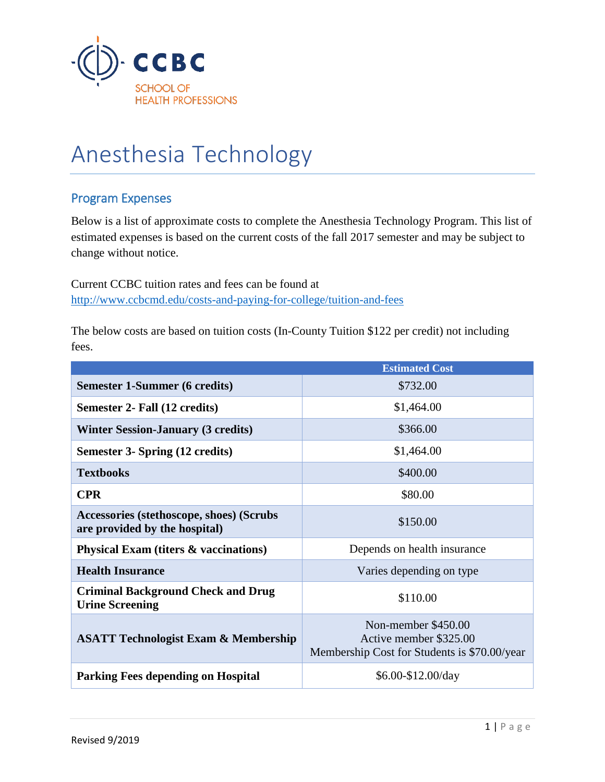

## Anesthesia Technology

## Program Expenses

Below is a list of approximate costs to complete the Anesthesia Technology Program. This list of estimated expenses is based on the current costs of the fall 2017 semester and may be subject to change without notice.

Current CCBC tuition rates and fees can be found at <http://www.ccbcmd.edu/costs-and-paying-for-college/tuition-and-fees>

The below costs are based on tuition costs (In-County Tuition \$122 per credit) not including fees.

|                                                                           | <b>Estimated Cost</b>                                                                         |  |
|---------------------------------------------------------------------------|-----------------------------------------------------------------------------------------------|--|
| <b>Semester 1-Summer (6 credits)</b>                                      | \$732.00                                                                                      |  |
| Semester 2- Fall (12 credits)                                             | \$1,464.00                                                                                    |  |
| <b>Winter Session-January (3 credits)</b>                                 | \$366.00                                                                                      |  |
| Semester 3- Spring (12 credits)                                           | \$1,464.00                                                                                    |  |
| <b>Textbooks</b>                                                          | \$400.00                                                                                      |  |
| <b>CPR</b>                                                                | \$80.00                                                                                       |  |
| Accessories (stethoscope, shoes) (Scrubs<br>are provided by the hospital) | \$150.00                                                                                      |  |
| <b>Physical Exam (titers &amp; vaccinations)</b>                          | Depends on health insurance                                                                   |  |
| <b>Health Insurance</b>                                                   | Varies depending on type                                                                      |  |
| <b>Criminal Background Check and Drug</b><br><b>Urine Screening</b>       | \$110.00                                                                                      |  |
| <b>ASATT Technologist Exam &amp; Membership</b>                           | Non-member \$450.00<br>Active member \$325.00<br>Membership Cost for Students is \$70.00/year |  |
| <b>Parking Fees depending on Hospital</b>                                 | $$6.00-S12.00/day$                                                                            |  |